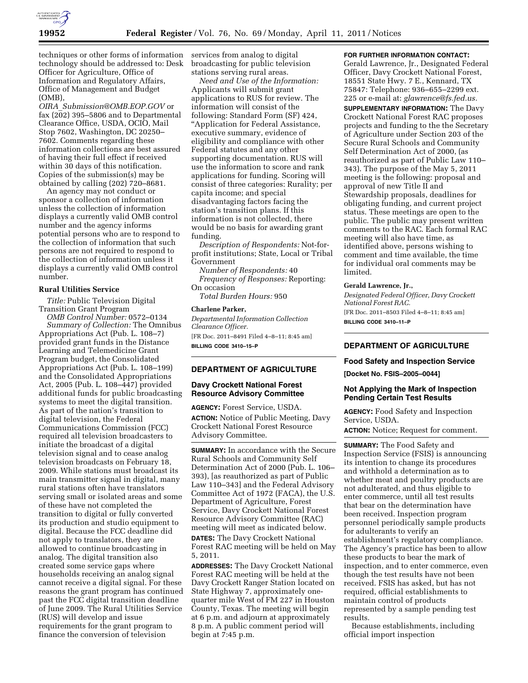

techniques or other forms of information services from analog to digital technology should be addressed to: Desk Officer for Agriculture, Office of Information and Regulatory Affairs, Office of Management and Budget (OMB),

*OIRA*\_*[Submission@OMB.EOP.GOV](mailto:OIRA_Submission@OMB.EOP.GOV)* or fax (202) 395–5806 and to Departmental Clearance Office, USDA, OCIO, Mail Stop 7602, Washington, DC 20250– 7602. Comments regarding these information collections are best assured of having their full effect if received within 30 days of this notification. Copies of the submission(s) may be obtained by calling (202) 720–8681.

An agency may not conduct or sponsor a collection of information unless the collection of information displays a currently valid OMB control number and the agency informs potential persons who are to respond to the collection of information that such persons are not required to respond to the collection of information unless it displays a currently valid OMB control number.

### **Rural Utilities Service**

*Title:* Public Television Digital Transition Grant Program

*OMB Control Number:* 0572–0134 *Summary of Collection:* The Omnibus Appropriations Act (Pub. L. 108–7) provided grant funds in the Distance Learning and Telemedicine Grant Program budget, the Consolidated Appropriations Act (Pub. L. 108–199) and the Consolidated Appropriations Act, 2005 (Pub. L. 108–447) provided additional funds for public broadcasting systems to meet the digital transition. As part of the nation's transition to digital television, the Federal Communications Commission (FCC) required all television broadcasters to initiate the broadcast of a digital television signal and to cease analog television broadcasts on February 18, 2009. While stations must broadcast its main transmitter signal in digital, many rural stations often have translators serving small or isolated areas and some of these have not completed the transition to digital or fully converted its production and studio equipment to digital. Because the FCC deadline did not apply to translators, they are allowed to continue broadcasting in analog. The digital transition also created some service gaps where households receiving an analog signal cannot receive a digital signal. For these reasons the grant program has continued past the FCC digital transition deadline of June 2009. The Rural Utilities Service (RUS) will develop and issue requirements for the grant program to finance the conversion of television

broadcasting for public television stations serving rural areas.

*Need and Use of the Information:*  Applicants will submit grant applications to RUS for review. The information will consist of the following: Standard Form (SF) 424, ''Application for Federal Assistance, executive summary, evidence of eligibility and compliance with other Federal statutes and any other supporting documentation. RUS will use the information to score and rank applications for funding. Scoring will consist of three categories: Rurality; per capita income; and special disadvantaging factors facing the station's transition plans. If this information is not collected, there would be no basis for awarding grant funding.

*Description of Respondents:* Not-forprofit institutions; State, Local or Tribal Government

*Number of Respondents:* 40 *Frequency of Responses:* Reporting: On occasion

*Total Burden Hours:* 950

#### **Charlene Parker,**

*Departmental Information Collection Clearance Officer.*  [FR Doc. 2011–8491 Filed 4–8–11; 8:45 am] **BILLING CODE 3410–15–P** 

### **DEPARTMENT OF AGRICULTURE**

### **Davy Crockett National Forest Resource Advisory Committee**

**AGENCY:** Forest Service, USDA. **ACTION:** Notice of Public Meeting, Davy Crockett National Forest Resource Advisory Committee.

**SUMMARY:** In accordance with the Secure Rural Schools and Community Self Determination Act of 2000 (Pub. L. 106– 393), [as reauthorized as part of Public Law 110–343] and the Federal Advisory Committee Act of 1972 (FACA), the U.S. Department of Agriculture, Forest Service, Davy Crockett National Forest Resource Advisory Committee (RAC) meeting will meet as indicated below.

**DATES:** The Davy Crockett National Forest RAC meeting will be held on May 5, 2011.

**ADDRESSES:** The Davy Crockett National Forest RAC meeting will be held at the Davy Crockett Ranger Station located on State Highway 7, approximately onequarter mile West of FM 227 in Houston County, Texas. The meeting will begin at 6 p.m. and adjourn at approximately 8 p.m. A public comment period will begin at 7:45 p.m.

### **FOR FURTHER INFORMATION CONTACT:**

Gerald Lawrence, Jr., Designated Federal Officer, Davy Crockett National Forest, 18551 State Hwy. 7 E., Kennard, TX 75847: Telephone: 936–655–2299 ext. 225 or e-mail at: *[glawrence@fs.fed.us.](mailto:glawrence@fs.fed.us)* 

**SUPPLEMENTARY INFORMATION:** The Davy Crockett National Forest RAC proposes projects and funding to the the Secretary of Agriculture under Section 203 of the Secure Rural Schools and Community Self Determination Act of 2000, (as reauthorized as part of Public Law 110– 343). The purpose of the May 5, 2011 meeting is the following: proposal and approval of new Title II and Stewardship proposals, deadlines for obligating funding, and current project status. These meetings are open to the public. The public may present written comments to the RAC. Each formal RAC meeting will also have time, as identified above, persons wishing to comment and time available, the time for individual oral comments may be limited.

#### **Gerald Lawrence, Jr.,**

*Designated Federal Officer, Davy Crockett National Forest RAC.*  [FR Doc. 2011–8503 Filed 4–8–11; 8:45 am] **BILLING CODE 3410–11–P** 

# **DEPARTMENT OF AGRICULTURE**

### **Food Safety and Inspection Service**

**[Docket No. FSIS–2005–0044]** 

## **Not Applying the Mark of Inspection Pending Certain Test Results**

**AGENCY:** Food Safety and Inspection Service, USDA.

**ACTION:** Notice; Request for comment.

**SUMMARY:** The Food Safety and Inspection Service (FSIS) is announcing its intention to change its procedures and withhold a determination as to whether meat and poultry products are not adulterated, and thus eligible to enter commerce, until all test results that bear on the determination have been received. Inspection program personnel periodically sample products for adulterants to verify an establishment's regulatory compliance. The Agency's practice has been to allow these products to bear the mark of inspection, and to enter commerce, even though the test results have not been received. FSIS has asked, but has not required, official establishments to maintain control of products represented by a sample pending test results.

Because establishments, including official import inspection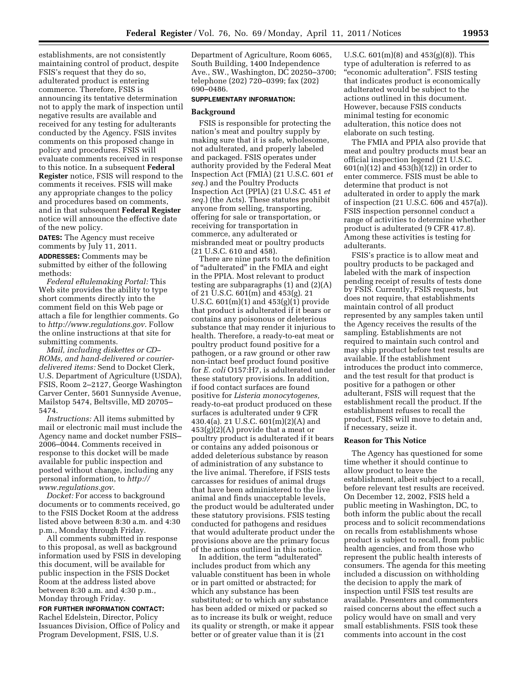establishments, are not consistently maintaining control of product, despite FSIS's request that they do so, adulterated product is entering commerce. Therefore, FSIS is announcing its tentative determination not to apply the mark of inspection until negative results are available and received for any testing for adulterants conducted by the Agency. FSIS invites comments on this proposed change in policy and procedures. FSIS will evaluate comments received in response to this notice. In a subsequent **Federal Register** notice, FSIS will respond to the comments it receives. FSIS will make any appropriate changes to the policy and procedures based on comments, and in that subsequent **Federal Register**  notice will announce the effective date of the new policy.

**DATES:** The Agency must receive comments by July 11, 2011.

**ADDRESSES:** Comments may be submitted by either of the following methods:

*Federal eRulemaking Portal:* This Web site provides the ability to type short comments directly into the comment field on this Web page or attach a file for lengthier comments. Go to *<http://www.regulations.gov>*. Follow the online instructions at that site for submitting comments.

*Mail, including diskettes or CD– ROMs, and hand-delivered or courierdelivered items:* Send to Docket Clerk, U.S. Department of Agriculture (USDA), FSIS, Room 2–2127, George Washington Carver Center, 5601 Sunnyside Avenue, Mailstop 5474, Beltsville, MD 20705– 5474.

*Instructions:* All items submitted by mail or electronic mail must include the Agency name and docket number FSIS– 2006–0044. Comments received in response to this docket will be made available for public inspection and posted without change, including any personal information, to *[http://](http://www.regulations.gov)  [www.regulations.gov](http://www.regulations.gov)*.

*Docket:* For access to background documents or to comments received, go to the FSIS Docket Room at the address listed above between 8:30 a.m. and 4:30 p.m., Monday through Friday.

All comments submitted in response to this proposal, as well as background information used by FSIS in developing this document, will be available for public inspection in the FSIS Docket Room at the address listed above between 8:30 a.m. and 4:30 p.m., Monday through Friday.

### **FOR FURTHER INFORMATION CONTACT:**

Rachel Edelstein, Director, Policy Issuances Division, Office of Policy and Program Development, FSIS, U.S.

Department of Agriculture, Room 6065, South Building, 1400 Independence Ave., SW., Washington, DC 20250–3700; telephone (202) 720–0399; fax (202) 690–0486.

### **SUPPLEMENTARY INFORMATION:**

# **Background**

FSIS is responsible for protecting the nation's meat and poultry supply by making sure that it is safe, wholesome, not adulterated, and properly labeled and packaged. FSIS operates under authority provided by the Federal Meat Inspection Act (FMIA) (21 U.S.C. 601 *et seq.*) and the Poultry Products Inspection Act (PPIA) (21 U.S.C. 451 *et seq.*) (the Acts). These statutes prohibit anyone from selling, transporting, offering for sale or transportation, or receiving for transportation in commerce, any adulterated or misbranded meat or poultry products (21 U.S.C. 610 and 458).

There are nine parts to the definition of ''adulterated'' in the FMIA and eight in the PPIA. Most relevant to product testing are subparagraphs (1) and (2)(A) of 21 U.S.C. 601(m) and 453(g). 21 U.S.C. 601(m)(1) and 453(g)(1) provide that product is adulterated if it bears or contains any poisonous or deleterious substance that may render it injurious to health. Therefore, a ready-to-eat meat or poultry product found positive for a pathogen, or a raw ground or other raw non-intact beef product found positive for *E. coli* O157:H7, is adulterated under these statutory provisions. In addition, if food contact surfaces are found positive for *Listeria monocytogenes,*  ready-to-eat product produced on these surfaces is adulterated under 9 CFR 430.4(a). 21 U.S.C. 601(m)(2)(A) and  $453(g)(2)(A)$  provide that a meat or poultry product is adulterated if it bears or contains any added poisonous or added deleterious substance by reason of administration of any substance to the live animal. Therefore, if FSIS tests carcasses for residues of animal drugs that have been administered to the live animal and finds unacceptable levels, the product would be adulterated under these statutory provisions. FSIS testing conducted for pathogens and residues that would adulterate product under the provisions above are the primary focus of the actions outlined in this notice.

In addition, the term "adulterated" includes product from which any valuable constituent has been in whole or in part omitted or abstracted; for which any substance has been substituted; or to which any substance has been added or mixed or packed so as to increase its bulk or weight, reduce its quality or strength, or make it appear better or of greater value than it is (21

U.S.C. 601(m)(8) and 453(g)(8)). This type of adulteration is referred to as ''economic adulteration''. FSIS testing that indicates product is economically adulterated would be subject to the actions outlined in this document. However, because FSIS conducts minimal testing for economic adulteration, this notice does not elaborate on such testing.

The FMIA and PPIA also provide that meat and poultry products must bear an official inspection legend (21 U.S.C.  $601(n)(12)$  and  $453(h)(12)$  in order to enter commerce. FSIS must be able to determine that product is not adulterated in order to apply the mark of inspection (21 U.S.C. 606 and 457(a)). FSIS inspection personnel conduct a range of activities to determine whether product is adulterated (9 CFR 417.8). Among these activities is testing for adulterants.

FSIS's practice is to allow meat and poultry products to be packaged and labeled with the mark of inspection pending receipt of results of tests done by FSIS. Currently, FSIS requests, but does not require, that establishments maintain control of all product represented by any samples taken until the Agency receives the results of the sampling. Establishments are not required to maintain such control and may ship product before test results are available. If the establishment introduces the product into commerce, and the test result for that product is positive for a pathogen or other adulterant, FSIS will request that the establishment recall the product. If the establishment refuses to recall the product, FSIS will move to detain and, if necessary, seize it.

### **Reason for This Notice**

The Agency has questioned for some time whether it should continue to allow product to leave the establishment, albeit subject to a recall, before relevant test results are received. On December 12, 2002, FSIS held a public meeting in Washington, DC, to both inform the public about the recall process and to solicit recommendations on recalls from establishments whose product is subject to recall, from public health agencies, and from those who represent the public health interests of consumers. The agenda for this meeting included a discussion on withholding the decision to apply the mark of inspection until FSIS test results are available. Presenters and commenters raised concerns about the effect such a policy would have on small and very small establishments. FSIS took these comments into account in the cost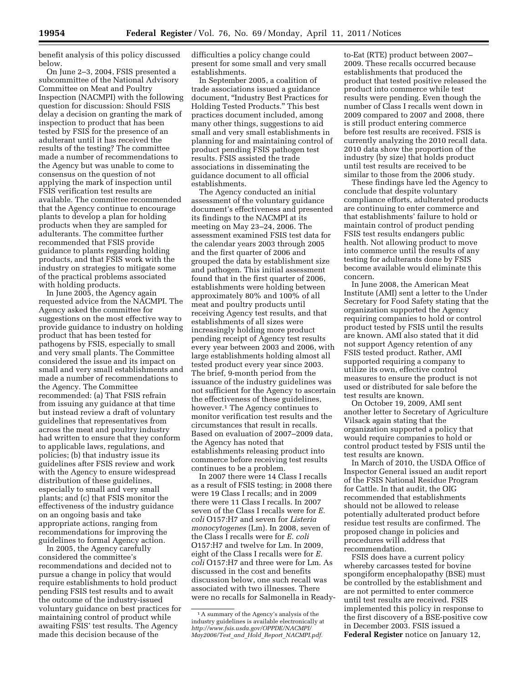benefit analysis of this policy discussed below.

On June 2–3, 2004, FSIS presented a subcommittee of the National Advisory Committee on Meat and Poultry Inspection (NACMPI) with the following question for discussion: Should FSIS delay a decision on granting the mark of inspection to product that has been tested by FSIS for the presence of an adulterant until it has received the results of the testing? The committee made a number of recommendations to the Agency but was unable to come to consensus on the question of not applying the mark of inspection until FSIS verification test results are available. The committee recommended that the Agency continue to encourage plants to develop a plan for holding products when they are sampled for adulterants. The committee further recommended that FSIS provide guidance to plants regarding holding products, and that FSIS work with the industry on strategies to mitigate some of the practical problems associated with holding products.

In June 2005, the Agency again requested advice from the NACMPI. The Agency asked the committee for suggestions on the most effective way to provide guidance to industry on holding product that has been tested for pathogens by FSIS, especially to small and very small plants. The Committee considered the issue and its impact on small and very small establishments and made a number of recommendations to the Agency. The Committee recommended: (a) That FSIS refrain from issuing any guidance at that time but instead review a draft of voluntary guidelines that representatives from across the meat and poultry industry had written to ensure that they conform to applicable laws, regulations, and policies; (b) that industry issue its guidelines after FSIS review and work with the Agency to ensure widespread distribution of these guidelines, especially to small and very small plants; and (c) that FSIS monitor the effectiveness of the industry guidance on an ongoing basis and take appropriate actions, ranging from recommendations for improving the guidelines to formal Agency action.

In 2005, the Agency carefully considered the committee's recommendations and decided not to pursue a change in policy that would require establishments to hold product pending FSIS test results and to await the outcome of the industry-issued voluntary guidance on best practices for maintaining control of product while awaiting FSIS' test results. The Agency made this decision because of the

difficulties a policy change could present for some small and very small establishments.

In September 2005, a coalition of trade associations issued a guidance document, ''Industry Best Practices for Holding Tested Products.'' This best practices document included, among many other things, suggestions to aid small and very small establishments in planning for and maintaining control of product pending FSIS pathogen test results. FSIS assisted the trade associations in disseminating the guidance document to all official establishments.

The Agency conducted an initial assessment of the voluntary guidance document's effectiveness and presented its findings to the NACMPI at its meeting on May 23–24, 2006. The assessment examined FSIS test data for the calendar years 2003 through 2005 and the first quarter of 2006 and grouped the data by establishment size and pathogen. This initial assessment found that in the first quarter of 2006, establishments were holding between approximately 80% and 100% of all meat and poultry products until receiving Agency test results, and that establishments of all sizes were increasingly holding more product pending receipt of Agency test results every year between 2003 and 2006, with large establishments holding almost all tested product every year since 2003. The brief, 9-month period from the issuance of the industry guidelines was not sufficient for the Agency to ascertain the effectiveness of these guidelines, however.1 The Agency continues to monitor verification test results and the circumstances that result in recalls. Based on evaluation of 2007–2009 data, the Agency has noted that establishments releasing product into commerce before receiving test results continues to be a problem.

In 2007 there were 14 Class I recalls as a result of FSIS testing; in 2008 there were 19 Class I recalls; and in 2009 there were 11 Class I recalls. In 2007 seven of the Class I recalls were for *E. coli* O157:H7 and seven for *Listeria monocytogenes* (Lm). In 2008, seven of the Class I recalls were for *E. coli*  O157:H7 and twelve for Lm. In 2009, eight of the Class I recalls were for *E. coli* O157:H7 and three were for Lm. As discussed in the cost and benefits discussion below, one such recall was associated with two illnesses. There were no recalls for Salmonella in Ready-

to-Eat (RTE) product between 2007– 2009. These recalls occurred because establishments that produced the product that tested positive released the product into commerce while test results were pending. Even though the number of Class I recalls went down in 2009 compared to 2007 and 2008, there is still product entering commerce before test results are received. FSIS is currently analyzing the 2010 recall data. 2010 data show the proportion of the industry (by size) that holds product until test results are received to be similar to those from the 2006 study.

These findings have led the Agency to conclude that despite voluntary compliance efforts, adulterated products are continuing to enter commerce and that establishments' failure to hold or maintain control of product pending FSIS test results endangers public health. Not allowing product to move into commerce until the results of any testing for adulterants done by FSIS become available would eliminate this concern.

In June 2008, the American Meat Institute (AMI) sent a letter to the Under Secretary for Food Safety stating that the organization supported the Agency requiring companies to hold or control product tested by FSIS until the results are known. AMI also stated that it did not support Agency retention of any FSIS tested product. Rather, AMI supported requiring a company to utilize its own, effective control measures to ensure the product is not used or distributed for sale before the test results are known.

On October 19, 2009, AMI sent another letter to Secretary of Agriculture Vilsack again stating that the organization supported a policy that would require companies to hold or control product tested by FSIS until the test results are known.

In March of 2010, the USDA Office of Inspector General issued an audit report of the FSIS National Residue Program for Cattle. In that audit, the OIG recommended that establishments should not be allowed to release potentially adulterated product before residue test results are confirmed. The proposed change in policies and procedures will address that recommendation.

FSIS does have a current policy whereby carcasses tested for bovine spongiform encephalopathy (BSE) must be controlled by the establishment and are not permitted to enter commerce until test results are received. FSIS implemented this policy in response to the first discovery of a BSE-positive cow in December 2003. FSIS issued a **Federal Register** notice on January 12,

<sup>1</sup>A summary of the Agency's analysis of the industry guidelines is available electronically at *[http://www.fsis.usda.gov/OPPDE/NACMPI/](http://www.fsis.usda.gov/OPPDE/NACMPI/May2006/Test_and_Hold_Report_NACMPI.pdf) [May2006/Test](http://www.fsis.usda.gov/OPPDE/NACMPI/May2006/Test_and_Hold_Report_NACMPI.pdf)*\_*and*\_*Hold*\_*Report*\_*NACMPI.pdf.*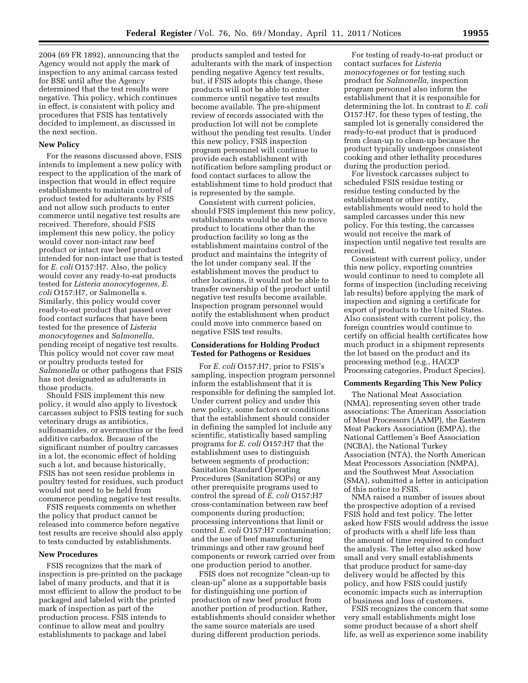2004 (69 FR 1892), announcing that the Agency would not apply the mark of inspection to any animal carcass tested for BSE until after the Agency determined that the test results were negative. This policy, which continues in effect, is consistent with policy and procedures that FSIS has tentatively decided to implement, as discussed in the next section.

### **New Policy**

For the reasons discussed above, FSIS intends to implement a new policy with respect to the application of the mark of inspection that would in effect require establishments to maintain control of product tested for adulterants by FSIS and not allow such products to enter commerce until negative test results are received. Therefore, should FSIS implement this new policy, the policy would cover non-intact raw beef product or intact raw beef product intended for non-intact use that is tested for *E. coli* O157:H7. Also, the policy would cover any ready-to-eat products tested for *Listeria monocytogenes, E. coli* O157:H7, or Salmonella s. Similarly, this policy would cover ready-to-eat product that passed over food contact surfaces that have been tested for the presence of *Listeria monocytogenes* and *Salmonella,*  pending receipt of negative test results. This policy would not cover raw meat or poultry products tested for *Salmonella* or other pathogens that FSIS has not designated as adulterants in those products.

Should FSIS implement this new policy, it would also apply to livestock carcasses subject to FSIS testing for such veterinary drugs as antibiotics, sulfonamides, or avermectins or the feed additive carbadox. Because of the significant number of poultry carcasses in a lot, the economic effect of holding such a lot, and because historically, FSIS has not seen residue problems in poultry tested for residues, such product would not need to be held from commerce pending negative test results.

FSIS requests comments on whether the policy that product cannot be released into commerce before negative test results are receive should also apply to tests conducted by establishments.

### **New Procedures**

FSIS recognizes that the mark of inspection is pre-printed on the package label of many products, and that it is most efficient to allow the product to be packaged and labeled with the printed mark of inspection as part of the production process. FSIS intends to continue to allow meat and poultry establishments to package and label

products sampled and tested for adulterants with the mark of inspection pending negative Agency test results, but, if FSIS adopts this change, these products will not be able to enter commerce until negative test results become available. The pre-shipment review of records associated with the production lot will not be complete without the pending test results. Under this new policy, FSIS inspection program personnel will continue to provide each establishment with notification before sampling product or food contact surfaces to allow the establishment time to hold product that is represented by the sample.

Consistent with current policies, should FSIS implement this new policy, establishments would be able to move product to locations other than the production facility so long as the establishment maintains control of the product and maintains the integrity of the lot under company seal. If the establishment moves the product to other locations, it would not be able to transfer ownership of the product until negative test results become available. Inspection program personnel would notify the establishment when product could move into commerce based on negative FSIS test results.

## **Considerations for Holding Product Tested for Pathogens or Residues**

For *E. coli* O157:H7, prior to FSIS's sampling, inspection program personnel inform the establishment that it is responsible for defining the sampled lot. Under current policy and under this new policy, some factors or conditions that the establishment should consider in defining the sampled lot include any scientific, statistically based sampling programs for *E. coli* O157:H7 that the establishment uses to distinguish between segments of production; Sanitation Standard Operating Procedures (Sanitation SOPs) or any other prerequisite programs used to control the spread of *E. coli* O157:H7 cross-contamination between raw beef components during production; processing interventions that limit or control *E. coli* O157:H7 contamination; and the use of beef manufacturing trimmings and other raw ground beef components or rework carried over from one production period to another.

FSIS does not recognize ''clean-up to clean-up'' alone as a supportable basis for distinguishing one portion of production of raw beef product from another portion of production. Rather, establishments should consider whether the same source materials are used during different production periods.

For testing of ready-to-eat product or contact surfaces for *Listeria monocytogenes* or for testing such product for *Salmonella,* inspection program personnel also inform the establishment that it is responsible for determining the lot. In contrast to *E. coli*  O157:H7, for these types of testing, the sampled lot is generally considered the ready-to-eat product that is produced from clean-up to clean-up because the product typically undergoes consistent cooking and other lethality procedures during the production period.

For livestock carcasses subject to scheduled FSIS residue testing or residue testing conducted by the establishment or other entity, establishments would need to hold the sampled carcasses under this new policy. For this testing, the carcasses would not receive the mark of inspection until negative test results are received.

Consistent with current policy, under this new policy, exporting countries would continue to need to complete all forms of inspection (including receiving lab results) before applying the mark of inspection and signing a certificate for export of products to the United States. Also consistent with current policy, the foreign countries would continue to certify on official health certificates how much product in a shipment represents the lot based on the product and its processing method (e.g., HACCP Processing categories, Product Species).

### **Comments Regarding This New Policy**

The National Meat Association (NMA), representing seven other trade associations: The American Association of Meat Processors (AAMP), the Eastern Meat Packers Association (EMPA), the National Cattlemen's Beef Association (NCBA), the National Turkey Association (NTA), the North American Meat Processors Association (NMPA), and the Southwest Meat Association (SMA), submitted a letter in anticipation of this notice to FSIS.

NMA raised a number of issues about the prospective adoption of a revised FSIS hold and test policy. The letter asked how FSIS would address the issue of products with a shelf life less than the amount of time required to conduct the analysis. The letter also asked how small and very small establishments that produce product for same-day delivery would be affected by this policy, and how FSIS could justify economic impacts such as interruption of business and loss of customers.

FSIS recognizes the concern that some very small establishments might lose some product because of a short shelf life, as well as experience some inability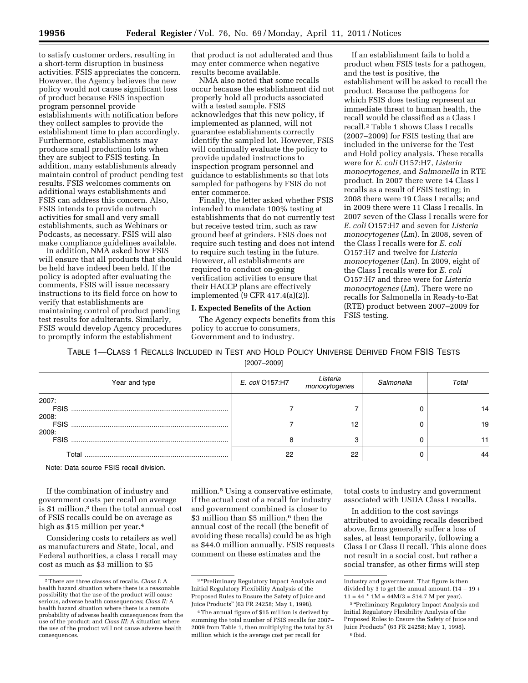to satisfy customer orders, resulting in a short-term disruption in business activities. FSIS appreciates the concern. However, the Agency believes the new policy would not cause significant loss of product because FSIS inspection program personnel provide establishments with notification before they collect samples to provide the establishment time to plan accordingly. Furthermore, establishments may produce small production lots when they are subject to FSIS testing. In addition, many establishments already maintain control of product pending test results. FSIS welcomes comments on additional ways establishments and FSIS can address this concern. Also, FSIS intends to provide outreach activities for small and very small establishments, such as Webinars or Podcasts, as necessary. FSIS will also make compliance guidelines available.

In addition, NMA asked how FSIS will ensure that all products that should be held have indeed been held. If the policy is adopted after evaluating the comments, FSIS will issue necessary instructions to its field force on how to verify that establishments are maintaining control of product pending test results for adulterants. Similarly, FSIS would develop Agency procedures to promptly inform the establishment

that product is not adulterated and thus may enter commerce when negative results become available.

NMA also noted that some recalls occur because the establishment did not properly hold all products associated with a tested sample. FSIS acknowledges that this new policy, if implemented as planned, will not guarantee establishments correctly identify the sampled lot. However, FSIS will continually evaluate the policy to provide updated instructions to inspection program personnel and guidance to establishments so that lots sampled for pathogens by FSIS do not enter commerce.

Finally, the letter asked whether FSIS intended to mandate 100% testing at establishments that do not currently test but receive tested trim, such as raw ground beef at grinders. FSIS does not require such testing and does not intend to require such testing in the future. However, all establishments are required to conduct on-going verification activities to ensure that their HACCP plans are effectively implemented (9 CFR 417.4(a)(2)).

### **I. Expected Benefits of the Action**

The Agency expects benefits from this policy to accrue to consumers, Government and to industry.

If an establishment fails to hold a product when FSIS tests for a pathogen, and the test is positive, the establishment will be asked to recall the product. Because the pathogens for which FSIS does testing represent an immediate threat to human health, the recall would be classified as a Class I recall.2 Table 1 shows Class I recalls (2007–2009) for FSIS testing that are included in the universe for the Test and Hold policy analysis. These recalls were for *E. coli* O157:H7, *Listeria monocytogenes,* and *Salmonella* in RTE product. In 2007 there were 14 Class I recalls as a result of FSIS testing; in 2008 there were 19 Class I recalls; and in 2009 there were 11 Class I recalls. In 2007 seven of the Class I recalls were for *E. coli* O157:H7 and seven for *Listeria monocytogenes* (*Lm*). In 2008, seven of the Class I recalls were for *E. coli*  O157:H7 and twelve for *Listeria monocytogenes* (*Lm*). In 2009, eight of the Class I recalls were for *E. coli*  O157:H7 and three were for *Listeria monocytogenes* (*Lm*). There were no recalls for Salmonella in Ready-to-Eat (RTE) product between 2007–2009 for FSIS testing.

TABLE 1—CLASS 1 RECALLS INCLUDED IN TEST AND HOLD POLICY UNIVERSE DERIVED FROM FSIS TESTS

[2007–2009]

| Year and type                 | E. coli 0157:H7 | Listeria<br>monocytogenes | Salmonella | Total |
|-------------------------------|-----------------|---------------------------|------------|-------|
| 2007:<br><b>FSIS</b><br>2008: |                 |                           |            | 14    |
| <b>FSIS</b><br>2009:          |                 | 12                        |            | 19    |
| <b>FSIS</b>                   | 8               | 3                         |            |       |
| Total                         | 22              | 22                        |            | 44    |

Note: Data source FSIS recall division.

If the combination of industry and government costs per recall on average is \$1 million,3 then the total annual cost of FSIS recalls could be on average as high as \$15 million per year.4

Considering costs to retailers as well as manufacturers and State, local, and Federal authorities, a class I recall may cost as much as \$3 million to \$5

million.<sup>5</sup> Using a conservative estimate, if the actual cost of a recall for industry and government combined is closer to \$3 million than \$5 million,<sup>6</sup> then the annual cost of the recall (the benefit of avoiding these recalls) could be as high as \$44.0 million annually. FSIS requests comment on these estimates and the

total costs to industry and government associated with USDA Class I recalls.

In addition to the cost savings attributed to avoiding recalls described above, firms generally suffer a loss of sales, at least temporarily, following a Class I or Class II recall. This alone does not result in a social cost, but rather a social transfer, as other firms will step

<sup>2</sup>There are three classes of recalls. *Class I:* A health hazard situation where there is a reasonable possibility that the use of the product will cause serious, adverse health consequences; *Class II:* A health hazard situation where there is a remote probability of adverse health consequences from the use of the product; and *Class III:* A situation where the use of the product will not cause adverse health consequences.

<sup>&</sup>lt;sup>3</sup> "Preliminary Regulatory Impact Analysis and Initial Regulatory Flexibility Analysis of the Proposed Rules to Ensure the Safety of Juice and Juice Products'' (63 FR 24258; May 1, 1998).

<sup>4</sup>The annual figure of \$15 million is derived by summing the total number of FSIS recalls for 2007– 2009 from Table 1, then multiplying the total by \$1 million which is the average cost per recall for

industry and government. That figure is then divided by 3 to get the annual amount. (14 + 19 +  $11 = 44 * 1M = 44M/3 = $14.7 M$  per year).

<sup>&</sup>lt;sup>5</sup> "Preliminary Regulatory Impact Analysis and Initial Regulatory Flexibility Analysis of the Proposed Rules to Ensure the Safety of Juice and Juice Products'' (63 FR 24258; May 1, 1998). 6 Ibid.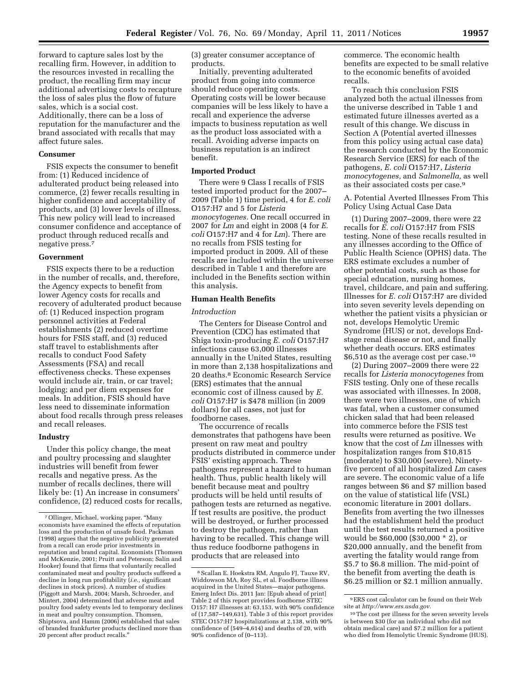forward to capture sales lost by the recalling firm. However, in addition to the resources invested in recalling the product, the recalling firm may incur additional advertising costs to recapture the loss of sales plus the flow of future sales, which is a social cost. Additionally, there can be a loss of reputation for the manufacturer and the brand associated with recalls that may affect future sales.

### **Consumer**

FSIS expects the consumer to benefit from: (1) Reduced incidence of adulterated product being released into commerce, (2) fewer recalls resulting in higher confidence and acceptability of products, and (3) lower levels of illness. This new policy will lead to increased consumer confidence and acceptance of product through reduced recalls and negative press.7

### **Government**

FSIS expects there to be a reduction in the number of recalls, and, therefore, the Agency expects to benefit from lower Agency costs for recalls and recovery of adulterated product because of: (1) Reduced inspection program personnel activities at Federal establishments (2) reduced overtime hours for FSIS staff, and (3) reduced staff travel to establishments after recalls to conduct Food Safety Assessments (FSA) and recall effectiveness checks. These expenses would include air, train, or car travel; lodging; and per diem expenses for meals. In addition, FSIS should have less need to disseminate information about food recalls through press releases and recall releases.

#### **Industry**

Under this policy change, the meat and poultry processing and slaughter industries will benefit from fewer recalls and negative press. As the number of recalls declines, there will likely be: (1) An increase in consumers' confidence, (2) reduced costs for recalls, (3) greater consumer acceptance of products.

Initially, preventing adulterated product from going into commerce should reduce operating costs. Operating costs will be lower because companies will be less likely to have a recall and experience the adverse impacts to business reputation as well as the product loss associated with a recall. Avoiding adverse impacts on business reputation is an indirect benefit.

#### **Imported Product**

There were 9 Class I recalls of FSIS tested imported product for the 2007– 2009 (Table 1) time period, 4 for *E. coli*  O157:H7 and 5 for *Listeria monocytogenes.* One recall occurred in 2007 for *Lm* and eight in 2008 (4 for *E. coli* O157:H7 and 4 for *Lm*). There are no recalls from FSIS testing for imported product in 2009. All of these recalls are included within the universe described in Table 1 and therefore are included in the Benefits section within this analysis.

# **Human Health Benefits**

### *Introduction*

The Centers for Disease Control and Prevention (CDC) has estimated that Shiga toxin-producing *E. coli* O157:H7 infections cause 63,000 illnesses annually in the United States, resulting in more than 2,138 hospitalizations and 20 deaths.8 Economic Research Service (ERS) estimates that the annual economic cost of illness caused by *E. coli* O157:H7 is \$478 million (in 2009 dollars) for all cases, not just for foodborne cases.

The occurrence of recalls demonstrates that pathogens have been present on raw meat and poultry products distributed in commerce under FSIS' existing approach. These pathogens represent a hazard to human health. Thus, public health likely will benefit because meat and poultry products will be held until results of pathogen tests are returned as negative. If test results are positive, the product will be destroyed, or further processed to destroy the pathogen, rather than having to be recalled. This change will thus reduce foodborne pathogens in products that are released into

commerce. The economic health benefits are expected to be small relative to the economic benefits of avoided recalls.

To reach this conclusion FSIS analyzed both the actual illnesses from the universe described in Table 1 and estimated future illnesses averted as a result of this change. We discuss in Section A (Potential averted illnesses from this policy using actual case data) the research conducted by the Economic Research Service (ERS) for each of the pathogens, *E. coli* O157:H7, *Listeria monocytogenes,* and *Salmonella,* as well as their associated costs per case.9

A. Potential Averted Illnesses From This Policy Using Actual Case Data

(1) During 2007–2009, there were 22 recalls for *E. coli* O157:H7 from FSIS testing. None of these recalls resulted in any illnesses according to the Office of Public Health Science (OPHS) data. The ERS estimate excludes a number of other potential costs, such as those for special education, nursing homes, travel, childcare, and pain and suffering. Illnesses for *E. coli* O157:H7 are divided into seven severity levels depending on whether the patient visits a physician or not, develops Hemolytic Uremic Syndrome (HUS) or not, develops Endstage renal disease or not, and finally whether death occurs. ERS estimates \$6,510 as the average cost per case.10

(2) During 2007–2009 there were 22 recalls for *Listeria monocytogenes* from FSIS testing. Only one of these recalls was associated with illnesses. In 2008, there were two illnesses, one of which was fatal, when a customer consumed chicken salad that had been released into commerce before the FSIS test results were returned as positive. We know that the cost of *Lm* illnesses with hospitalization ranges from \$10,815 (moderate) to \$30,000 (severe). Ninetyfive percent of all hospitalized *Lm* cases are severe. The economic value of a life ranges between \$6 and \$7 million based on the value of statistical life (VSL) economic literature in 2001 dollars. Benefits from averting the two illnesses had the establishment held the product until the test results returned a positive would be \$60,000 (\$30,000 \* 2), or \$20,000 annually, and the benefit from averting the fatality would range from \$5.7 to \$6.8 million. The mid-point of the benefit from averting the death is \$6.25 million or \$2.1 million annually.

<sup>7</sup>Ollinger, Michael, working paper. ''Many economists have examined the effects of reputation loss and the production of unsafe food. Packman (1998) argues that the negative publicity generated from a recall can erode prior investments in reputation and brand capital. Economists (Thomsen and McKenzie, 2001; Pruitt and Peterson; Salin and Hooker) found that firms that voluntarily recalled contaminated meat and poultry products suffered a decline in long run profitability (*i.e.,* significant declines in stock prices). A number of studies (Piggott and Marsh, 2004; Marsh, Schroeder, and Mintert, 2004) determined that adverse meat and poultry food safety events led to temporary declines in meat and poultry consumption. Thomsen, Shiptsova, and Hamm (2006) established that sales of branded frankfurter products declined more than 20 percent after product recalls.''

<sup>8</sup>Scallan E. Hoekstra RM, Angulo FJ, Tauxe RV, Widdowson MA, Roy SL, et al. Foodborne illness acquired in the United States—major pathogens. Emerg Infect Dis. 2011 Jan: [Epub ahead of print] Table 2 of this report provides foodborne STEC O157: H7 illnesses at: 63,153, with 90% confidence of (17,587–149,631). Table 3 of this report provides STEC O157:H7 hospitalizations at 2,138, with 90% confidence of (549–4,614) and deaths of 20, with 90% confidence of (0–113).

<sup>9</sup>ERS cost calculator can be found on their Web site at *[http://www.ers.usda.gov.](http://www.ers.usda.gov)* 

<sup>10</sup>The cost per illness for the seven severity levels is between \$30 (for an individual who did not obtain medical care) and \$7.2 million for a patient who died from Hemolytic Uremic Syndrome (HUS).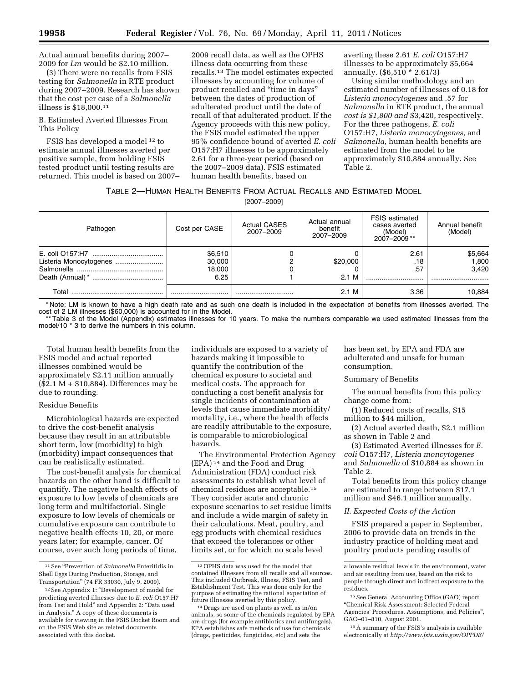Actual annual benefits during 2007– 2009 for *Lm* would be \$2.10 million.

(3) There were no recalls from FSIS testing for *Salmonella* in RTE product during 2007–2009. Research has shown that the cost per case of a *Salmonella*  illness is \$18,000.11

B. Estimated Averted Illnesses From This Policy

FSIS has developed a model 12 to estimate annual illnesses averted per positive sample, from holding FSIS tested product until testing results are returned. This model is based on 2007–

2009 recall data, as well as the OPHS illness data occurring from these recalls.13 The model estimates expected illnesses by accounting for volume of product recalled and "time in days" between the dates of production of adulterated product until the date of recall of that adulterated product. If the Agency proceeds with this new policy, the FSIS model estimated the upper 95% confidence bound of averted *E. coli*  O157:H7 illnesses to be approximately 2.61 for a three-year period (based on the 2007–2009 data). FSIS estimated human health benefits, based on

averting these 2.61 *E. coli* O157:H7 illnesses to be approximately \$5,664 annually. (\$6,510 \* 2.61/3)

Using similar methodology and an estimated number of illnesses of 0.18 for *Listeria monocytogenes* and .57 for *Salmonella* in RTE product, the annual *cost is \$1,800 and* \$3,420, respectively. For the three pathogens, *E. coli*  O157:H7, *Listeria monocytogenes,* and *Salmonella,* human health benefits are estimated from the model to be approximately \$10,884 annually. See Table 2.

## TABLE 2—HUMAN HEALTH BENEFITS FROM ACTUAL RECALLS AND ESTIMATED MODEL

[2007–2009]

| Pathogen | Cost per CASE                       | <b>Actual CASES</b><br>2007-2009 | Actual annual<br>benefit<br>2007-2009 | <b>FSIS estimated</b><br>cases averted<br>(Model)<br>2007-2009** | Annual benefit<br>(Model) |
|----------|-------------------------------------|----------------------------------|---------------------------------------|------------------------------------------------------------------|---------------------------|
|          | \$6,510<br>30,000<br>18,000<br>6.25 |                                  | \$20,000<br>2.1 M                     | 2.61<br>.18<br>.57                                               | \$5,664<br>1,800<br>3,420 |
| Total    |                                     |                                  | 2.1 M                                 | 3.36                                                             | 10,884                    |

\* Note: LM is known to have a high death rate and as such one death is included in the expectation of benefits from illnesses averted. The cost of 2 LM illnesses (\$60,000) is accounted for in the Model.

Table 3 of the Model (Appendix) estimates illnesses for 10 years. To make the numbers comparable we used estimated illnesses from the model/10<sup>\*</sup> 3 to derive the numbers in this column.

Total human health benefits from the FSIS model and actual reported illnesses combined would be approximately \$2.11 million annually  $($2.1 M + $10,884)$ . Differences may be due to rounding.

### Residue Benefits

Microbiological hazards are expected to drive the cost-benefit analysis because they result in an attributable short term, low (morbidity) to high (morbidity) impact consequences that can be realistically estimated.

The cost-benefit analysis for chemical hazards on the other hand is difficult to quantify. The negative health effects of exposure to low levels of chemicals are long term and multifactorial. Single exposure to low levels of chemicals or cumulative exposure can contribute to negative health effects 10, 20, or more years later; for example, cancer. Of course, over such long periods of time,

individuals are exposed to a variety of hazards making it impossible to quantify the contribution of the chemical exposure to societal and medical costs. The approach for conducting a cost benefit analysis for single incidents of contamination at levels that cause immediate morbidity/ mortality, i.e., where the health effects are readily attributable to the exposure, is comparable to microbiological hazards.

The Environmental Protection Agency (EPA) 14 and the Food and Drug Administration (FDA) conduct risk assessments to establish what level of chemical residues are acceptable.15 They consider acute and chronic exposure scenarios to set residue limits and include a wide margin of safety in their calculations. Meat, poultry, and egg products with chemical residues that exceed the tolerances or other limits set, or for which no scale level

has been set, by EPA and FDA are adulterated and unsafe for human consumption.

### Summary of Benefits

The annual benefits from this policy change come from:

(1) Reduced costs of recalls, \$15 million to \$44 million,

(2) Actual averted death, \$2.1 million as shown in Table 2 and

(3) Estimated Averted illnesses for *E. coli* O157:H7, *Listeria moncytogenes*  and *Salmonella* of \$10,884 as shown in Table 2.

Total benefits from this policy change are estimated to range between \$17.1 million and \$46.1 million annually.

# *II. Expected Costs of the Action*

FSIS prepared a paper in September, 2006 to provide data on trends in the industry practice of holding meat and poultry products pending results of

<sup>11</sup>See ''Prevention of *Salmonella* Enteritidis in Shell Eggs During Production, Storage, and Transportation'' (74 FR 33030, July 9, 2009).

<sup>12</sup>See Appendix 1: ''Development of model for predicting averted illnesses due to *E. coli* O157:H7 from Test and Hold'' and Appendix 2: ''Data used in Analysis.'' A copy of these documents is available for viewing in the FSIS Docket Room and on the FSIS Web site as related documents associated with this docket.

<sup>13</sup>OPHS data was used for the model that contained illnesses from all recalls and all sources. This included Outbreak, Illness, FSIS Test, and Establishment Test. This was done only for the purpose of estimating the rational expectation of future illnesses averted by this policy.

<sup>14</sup> Drugs are used on plants as well as in/on animals, so some of the chemicals regulated by EPA are drugs (for example antibiotics and antifungals). EPA establishes safe methods of use for chemicals (drugs, pesticides, fungicides, etc) and sets the

allowable residual levels in the environment, water and air resulting from use, based on the risk to people through direct and indirect exposure to the residues.

<sup>15</sup>See General Accounting Office (GAO) report ''Chemical Risk Assessment: Selected Federal Agencies' Procedures, Assumptions, and Policies'', GAO–01–810, August 2001.

<sup>16</sup>A summary of the FSIS's analysis is available electronically at *<http://www.fsis.usda.gov/OPPDE/>*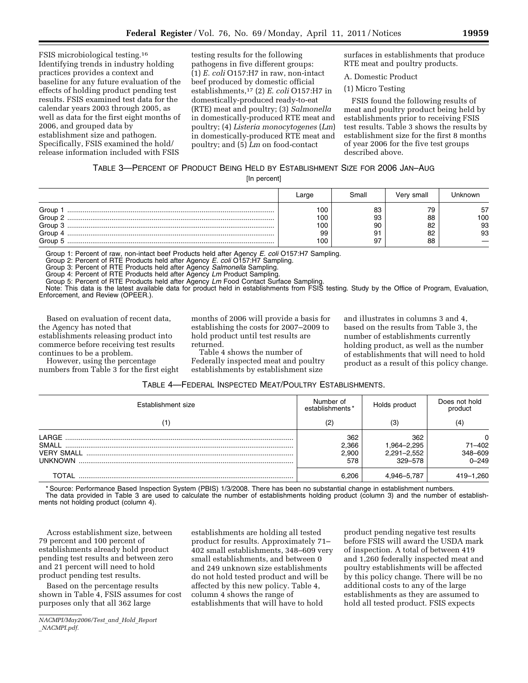FSIS microbiological testing.16 Identifying trends in industry holding practices provides a context and baseline for any future evaluation of the effects of holding product pending test results. FSIS examined test data for the calendar years 2003 through 2005, as well as data for the first eight months of 2006, and grouped data by establishment size and pathogen. Specifically, FSIS examined the hold/ release information included with FSIS

testing results for the following pathogens in five different groups: (1) *E. coli* O157:H7 in raw, non-intact beef produced by domestic official establishments,17 (2) *E. coli* O157:H7 in domestically-produced ready-to-eat (RTE) meat and poultry; (3) *Salmonella*  in domestically-produced RTE meat and poultry; (4) *Listeria monocytogenes* (*Lm*) in domestically-produced RTE meat and poultry; and (5) *Lm* on food-contact

surfaces in establishments that produce RTE meat and poultry products.

A. Domestic Product

(1) Micro Testing

FSIS found the following results of meat and poultry product being held by establishments prior to receiving FSIS test results. Table 3 shows the results by establishment size for the first 8 months of year 2006 for the five test groups described above.

# TABLE 3—PERCENT OF PRODUCT BEING HELD BY ESTABLISHMENT SIZE FOR 2006 JAN–AUG

[In percent]

|                                               | Large                         | Small                      | Verv small                 | . Jnknown             |
|-----------------------------------------------|-------------------------------|----------------------------|----------------------------|-----------------------|
| Group<br>Group 2<br>Group 3<br>Group<br>Group | 00<br>100<br>100<br>99<br>'00 | 83<br>93<br>90<br>91<br>97 | 79<br>88<br>82<br>82<br>88 | 57<br>100<br>93<br>93 |

Group 1: Percent of raw, non-intact beef Products held after Agency *E. coli* O157:H7 Sampling.

Group 2: Percent of RTE Products held after Agency *E. coli* O157:H7 Sampling.

Group 3: Percent of RTE Products held after Agency *Salmonella* Sampling.

Group 4: Percent of RTE Products held after Agency *Lm* Product Sampling.

Group 5: Percent of RTE Products held after Agency *Lm* Food Contact Surface Sampling.

Note: This data is the latest available data for product held in establishments from FSIS testing. Study by the Office of Program, Evaluation, Enforcement, and Review (OPEER.).

Based on evaluation of recent data, the Agency has noted that establishments releasing product into commerce before receiving test results continues to be a problem.

However, using the percentage numbers from Table 3 for the first eight months of 2006 will provide a basis for establishing the costs for 2007–2009 to hold product until test results are returned.

Table 4 shows the number of Federally inspected meat and poultry establishments by establishment size

and illustrates in columns 3 and 4, based on the results from Table 3, the number of establishments currently holding product, as well as the number of establishments that will need to hold product as a result of this policy change.

| Table 4—Federal Inspected Meat/Poultry Establishments. |
|--------------------------------------------------------|
|--------------------------------------------------------|

| Establishment size                        | Number of<br>establishments* | Holds product                                | Does not hold<br>product                           |
|-------------------------------------------|------------------------------|----------------------------------------------|----------------------------------------------------|
|                                           | (2)                          |                                              | (4)                                                |
| I ARGE.<br><b>SMALL</b><br><b>UNKNOWN</b> | 362<br>2,366<br>2,900<br>578 | 362<br>1,964–2,295<br>2,291-2,552<br>329-578 | $\mathbf{0}$<br>$71 - 402$<br>348-609<br>$0 - 249$ |
| TOTAL                                     | 6.206                        | 4,946-5,787                                  | 419-1,260                                          |

\* Source: Performance Based Inspection System (PBIS) 1/3/2008. There has been no substantial change in establishment numbers. The data provided in Table 3 are used to calculate the number of establishments holding product (column 3) and the number of establishments not holding product (column 4).

Across establishment size, between 79 percent and 100 percent of establishments already hold product pending test results and between zero and 21 percent will need to hold product pending test results.

Based on the percentage results shown in Table 4, FSIS assumes for cost purposes only that all 362 large

*NACMPI/May2006/Test*\_*and*\_*Hold*\_*Report* \_*NACMPI.pdf.* 

establishments are holding all tested product for results. Approximately 71– 402 small establishments, 348–609 very small establishments, and between 0 and 249 unknown size establishments do not hold tested product and will be affected by this new policy. Table 4, column 4 shows the range of establishments that will have to hold

product pending negative test results before FSIS will award the USDA mark of inspection. A total of between 419 and 1,260 federally inspected meat and poultry establishments will be affected by this policy change. There will be no additional costs to any of the large establishments as they are assumed to hold all tested product. FSIS expects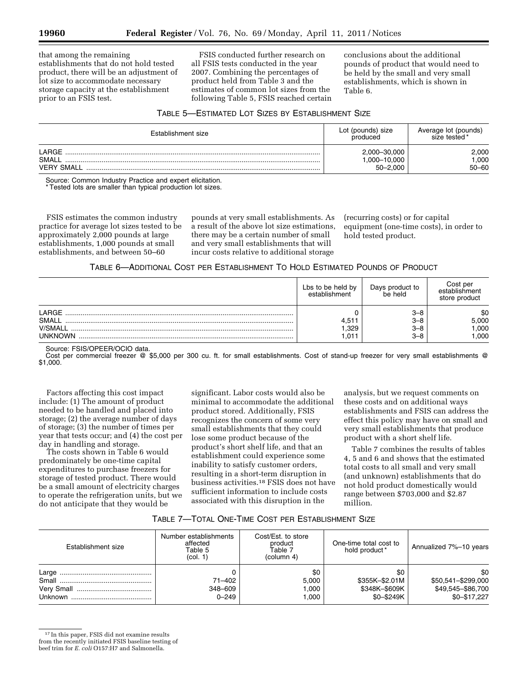that among the remaining establishments that do not hold tested product, there will be an adjustment of lot size to accommodate necessary storage capacity at the establishment prior to an FSIS test.

FSIS conducted further research on all FSIS tests conducted in the year 2007. Combining the percentages of product held from Table 3 and the estimates of common lot sizes from the following Table 5, FSIS reached certain

conclusions about the additional pounds of product that would need to be held by the small and very small establishments, which is shown in Table 6.

# TABLE 5—ESTIMATED LOT SIZES BY ESTABLISHMENT SIZE

| Establishment size                 | Lot (pounds) size<br>produced                | Average lot (pounds)<br>size tested* |
|------------------------------------|----------------------------------------------|--------------------------------------|
| LARGE<br>SMAL<br><b>VERY SMALL</b> | 2,000-30,000<br>1,000-10,000<br>$50 - 2.000$ | 2.000<br>1.000<br>$50 - 60$          |

Source: Common Industry Practice and expert elicitation. Tested lots are smaller than typical production lot sizes.

FSIS estimates the common industry practice for average lot sizes tested to be approximately 2,000 pounds at large establishments, 1,000 pounds at small establishments, and between 50–60

pounds at very small establishments. As a result of the above lot size estimations, there may be a certain number of small and very small establishments that will incur costs relative to additional storage

(recurring costs) or for capital equipment (one-time costs), in order to hold tested product.

# TABLE 6—ADDITIONAL COST PER ESTABLISHMENT TO HOLD ESTIMATED POUNDS OF PRODUCT

|                | Lbs to be held by<br>establishment | Days product to<br>be held | Cost per<br>establishment<br>store product |
|----------------|------------------------------------|----------------------------|--------------------------------------------|
| LARGE          |                                    | $3 - 8$                    | \$0                                        |
| SMALL          | $4,51$ <sup>+</sup>                | $3 - 8$                    | 5,000                                      |
| <b>V/SMALL</b> | .329                               | $3 - 8$                    | .000                                       |
| <b>UNKNOWN</b> | .011                               | $3 - 8$                    | .000                                       |

#### Source: FSIS/OPEER/OCIO data.

Cost per commercial freezer @ \$5,000 per 300 cu. ft. for small establishments. Cost of stand-up freezer for very small establishments @ \$1,000.

Factors affecting this cost impact include: (1) The amount of product needed to be handled and placed into storage; (2) the average number of days of storage; (3) the number of times per year that tests occur; and (4) the cost per day in handling and storage.

The costs shown in Table 6 would predominately be one-time capital expenditures to purchase freezers for storage of tested product. There would be a small amount of electricity charges to operate the refrigeration units, but we do not anticipate that they would be

significant. Labor costs would also be minimal to accommodate the additional product stored. Additionally, FSIS recognizes the concern of some very small establishments that they could lose some product because of the product's short shelf life, and that an establishment could experience some inability to satisfy customer orders, resulting in a short-term disruption in business activities.18 FSIS does not have sufficient information to include costs associated with this disruption in the

analysis, but we request comments on these costs and on additional ways establishments and FSIS can address the effect this policy may have on small and very small establishments that produce product with a short shelf life.

Table 7 combines the results of tables 4, 5 and 6 and shows that the estimated total costs to all small and very small (and unknown) establishments that do not hold product domestically would range between \$703,000 and \$2.87 million.

## TABLE 7—TOTAL ONE-TIME COST PER ESTABLISHMENT SIZE

| Establishment size | Number establishments<br>affected<br>Table 5<br>(col. 1) | Cost/Est. to store<br>product<br>Table 7<br>(column 4) | One-time total cost to<br>hold product <sup>*</sup>  | Annualized 7%-10 years                                         |
|--------------------|----------------------------------------------------------|--------------------------------------------------------|------------------------------------------------------|----------------------------------------------------------------|
|                    | $71 - 402$<br>348-609<br>$0 - 249$                       | \$0<br>5.000<br>1.000<br>1.000                         | \$0<br>\$355K-\$2.01M<br>\$348K-\$609K<br>\$0-\$249K | \$0<br>\$50,541-\$299,000<br>\$49,545-\$86,700<br>\$0-\$17.227 |

<sup>17</sup> In this paper, FSIS did not examine results from the recently initiated FSIS baseline testing of beef trim for *E. coli* O157:H7 and Salmonella.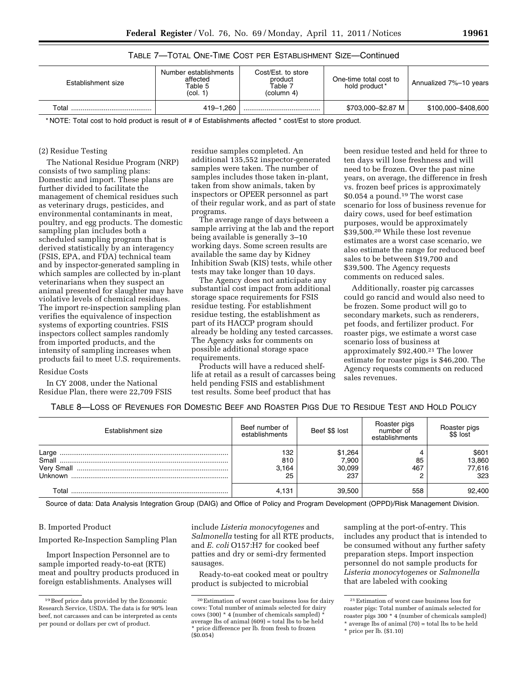| Establishment size | Number establishments<br>affected<br>Table 5<br>(col. 1) | Cost/Est. to store<br>product<br>.<br>Table 7<br>(column 4) | One-time total cost to<br>hold product <sup>*</sup> | Annualized 7%-10 years |
|--------------------|----------------------------------------------------------|-------------------------------------------------------------|-----------------------------------------------------|------------------------|
| Total              | 419-1.260                                                |                                                             | \$703,000-\$2.87 M                                  | \$100,000-\$408,600    |

# TABLE 7—TOTAL ONE-TIME COST PER ESTABLISHMENT SIZE—Continued

\* NOTE: Total cost to hold product is result of # of Establishments affected \* cost/Est to store product.

### (2) Residue Testing

The National Residue Program (NRP) consists of two sampling plans: Domestic and import. These plans are further divided to facilitate the management of chemical residues such as veterinary drugs, pesticides, and environmental contaminants in meat, poultry, and egg products. The domestic sampling plan includes both a scheduled sampling program that is derived statistically by an interagency (FSIS, EPA, and FDA) technical team and by inspector-generated sampling in which samples are collected by in-plant veterinarians when they suspect an animal presented for slaughter may have violative levels of chemical residues. The import re-inspection sampling plan verifies the equivalence of inspection systems of exporting countries. FSIS inspectors collect samples randomly from imported products, and the intensity of sampling increases when products fail to meet U.S. requirements.

# Residue Costs

In CY 2008, under the National Residue Plan, there were 22,709 FSIS residue samples completed. An additional 135,552 inspector-generated samples were taken. The number of samples includes those taken in-plant, taken from show animals, taken by inspectors or OPEER personnel as part of their regular work, and as part of state programs.

The average range of days between a sample arriving at the lab and the report being available is generally 3–10 working days. Some screen results are available the same day by Kidney Inhibition Swab (KIS) tests, while other tests may take longer than 10 days.

The Agency does not anticipate any substantial cost impact from additional storage space requirements for FSIS residue testing. For establishment residue testing, the establishment as part of its HACCP program should already be holding any tested carcasses. The Agency asks for comments on possible additional storage space requirements.

Products will have a reduced shelflife at retail as a result of carcasses being held pending FSIS and establishment test results. Some beef product that has

been residue tested and held for three to ten days will lose freshness and will need to be frozen. Over the past nine years, on average, the difference in fresh vs. frozen beef prices is approximately \$0.054 a pound.19 The worst case scenario for loss of business revenue for dairy cows, used for beef estimation purposes, would be approximately \$39,500.20 While these lost revenue estimates are a worst case scenario, we also estimate the range for reduced beef sales to be between \$19,700 and \$39,500. The Agency requests comments on reduced sales.

Additionally, roaster pig carcasses could go rancid and would also need to be frozen. Some product will go to secondary markets, such as renderers, pet foods, and fertilizer product. For roaster pigs, we estimate a worst case scenario loss of business at approximately \$92,400.21 The lower estimate for roaster pigs is \$46,200. The Agency requests comments on reduced sales revenues.

| TABLE 8-LOSS OF REVENUES FOR DOMESTIC BEEF AND ROASTER PIGS DUE TO RESIDUE TEST AND HOLD POLICY |  |
|-------------------------------------------------------------------------------------------------|--|
|-------------------------------------------------------------------------------------------------|--|

| Establishment size | Beef number of<br>establishments | Beef \$\$ lost                    | Roaster pigs<br>number of<br>establishments | Roaster pigs<br>\$\$ lost        |
|--------------------|----------------------------------|-----------------------------------|---------------------------------------------|----------------------------------|
| Large<br>Small     | 132<br>810<br>3,164<br>25        | \$1,264<br>7,900<br>30,099<br>237 | 85<br>467                                   | \$601<br>13,860<br>77,616<br>323 |
| ⊺otal              | 4.131                            | 39,500                            | 558                                         | 92,400                           |

Source of data: Data Analysis Integration Group (DAIG) and Office of Policy and Program Development (OPPD)/Risk Management Division.

### B. Imported Product

Imported Re-Inspection Sampling Plan

Import Inspection Personnel are to sample imported ready-to-eat (RTE) meat and poultry products produced in foreign establishments. Analyses will

include *Listeria monocytogenes* and *Salmonella* testing for all RTE products, and *E. coli* O157:H7 for cooked beef patties and dry or semi-dry fermented sausages.

Ready-to-eat cooked meat or poultry product is subjected to microbial

sampling at the port-of-entry. This includes any product that is intended to be consumed without any further safety preparation steps. Import inspection personnel do not sample products for *Listeria monocytogenes* or *Salmonella*  that are labeled with cooking

<sup>19</sup>Beef price data provided by the Economic Research Service, USDA. The data is for 90% lean beef, not carcasses and can be interpreted as cents per pound or dollars per cwt of product.

<sup>20</sup>Estimation of worst case business loss for dairy cows: Total number of animals selected for dairy cows (300) \* 4 (number of chemicals sampled) \* average lbs of animal  $(609) =$  total lbs to be held price difference per lb. from fresh to frozen  $(S_0.054)$ 

<sup>21</sup>Estimation of worst case business loss for roaster pigs: Total number of animals selected for roaster pigs 300 \* 4 (number of chemicals sampled) \* average lbs of animal (70) = total lbs to be held

<sup>\*</sup> price per lb. (\$1.10)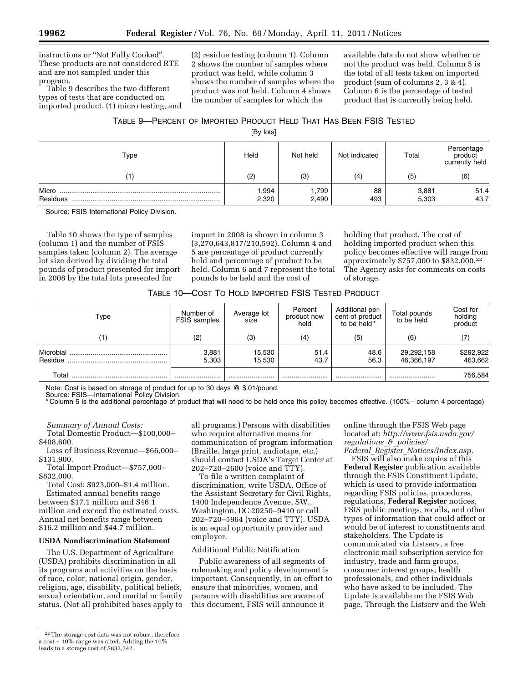instructions or ''Not Fully Cooked''. These products are not considered RTE and are not sampled under this program.

Table 9 describes the two different types of tests that are conducted on imported product, (1) micro testing, and (2) residue testing (column 1). Column 2 shows the number of samples where product was held, while column 3 shows the number of samples where the product was not held. Column 4 shows the number of samples for which the

available data do not show whether or not the product was held. Column 5 is the total of all tests taken on imported product (sum of columns 2, 3 & 4). Column 6 is the percentage of tested product that is currently being held.

# TABLE 9—PERCENT OF IMPORTED PRODUCT HELD THAT HAS BEEN FSIS TESTED

[By lots]

| Type              | Held          | Not held       | Not indicated | Total          | Percentage<br>product<br>currently held |
|-------------------|---------------|----------------|---------------|----------------|-----------------------------------------|
|                   | (2)           | (3)            | (4)           | (5)            | (6)                                     |
| Micro<br>Residues | 994.<br>2,320 | .799.<br>2,490 | 88<br>493     | 3,881<br>5,303 | 51.4<br>43.7                            |

Source: FSIS International Policy Division.

Table 10 shows the type of samples (column 1) and the number of FSIS samples taken (column 2). The average lot size derived by dividing the total pounds of product presented for import in 2008 by the total lots presented for

import in 2008 is shown in column 3 (3,270,643,817/210,592). Column 4 and 5 are percentage of product currently held and percentage of product to be held. Column 6 and 7 represent the total pounds to be held and the cost of

holding that product. The cost of holding imported product when this policy becomes effective will range from approximately \$757,000 to \$832,000.22 The Agency asks for comments on costs of storage.

| Type                 | Number of<br><b>FSIS</b> samples | Average lot<br>size | Percent<br>product now<br>held | Additional per-<br>cent of product<br>to be held * | Total pounds<br>to be held | Cost for<br>holding<br>product |
|----------------------|----------------------------------|---------------------|--------------------------------|----------------------------------------------------|----------------------------|--------------------------------|
| (1)                  | (2)                              | (3)                 | (4)                            | (5)                                                | (6)                        | (7)                            |
| Microbial<br>Residue | 3,881<br>5,303                   | 15,530<br>15,530    | 51.4<br>43.7                   | 48.6<br>56.3                                       | 29,292,158<br>46,366,197   | \$292,922<br>463,662           |
| Total                |                                  |                     |                                |                                                    |                            | 756,584                        |

Note: Cost is based on storage of product for up to 30 days @ \$.01/pound.

Source: FSIS—International Policy Division.

\* Column 5 is the additional percentage of product that will need to be held once this policy becomes effective. (100% - column 4 percentage)

*Summary of Annual Costs:* 

Total Domestic Product—\$100,000– \$408,600.

Loss of Business Revenue—\$66,000– \$131,900.

Total Import Product—\$757,000– \$832,000.

Total Cost: \$923,000–\$1.4 million. Estimated annual benefits range between \$17.1 million and \$46.1 million and exceed the estimated costs. Annual net benefits range between \$16.2 million and \$44.7 million.

# **USDA Nondiscrimination Statement**

The U.S. Department of Agriculture (USDA) prohibits discrimination in all its programs and activities on the basis of race, color, national origin, gender, religion, age, disability, political beliefs, sexual orientation, and marital or family status. (Not all prohibited bases apply to discrimination, write USDA, Office of the Assistant Secretary for Civil Rights, 1400 Independence Avenue, SW., Washington, DC 20250–9410 or call 202–720–5964 (voice and TTY). USDA is an equal opportunity provider and employer.

# Additional Public Notification

Public awareness of all segments of rulemaking and policy development is important. Consequently, in an effort to ensure that minorities, women, and persons with disabilities are aware of this document, FSIS will announce it

online through the FSIS Web page located at: *[http://www.fsis.usda.gov/](http://www.fsis.usda.gov/regulations_&_policies/Federal_Register_Notices/index.asp)  [regulations](http://www.fsis.usda.gov/regulations_&_policies/Federal_Register_Notices/index.asp)*\_*&*\_*policies/ Federal*\_*Register*\_*[Notices/index.asp.](http://www.fsis.usda.gov/regulations_&_policies/Federal_Register_Notices/index.asp)* 

FSIS will also make copies of this **Federal Register** publication available through the FSIS Constituent Update, which is used to provide information regarding FSIS policies, procedures, regulations, **Federal Register** notices, FSIS public meetings, recalls, and other types of information that could affect or would be of interest to constituents and stakeholders. The Update is communicated via Listserv, a free electronic mail subscription service for industry, trade and farm groups, consumer interest groups, health professionals, and other individuals who have asked to be included. The Update is available on the FSIS Web page. Through the Listserv and the Web

all programs.) Persons with disabilities who require alternative means for communication of program information (Braille, large print, audiotape, etc.) should contact USDA's Target Center at 202–720–2600 (voice and TTY). To file a written complaint of

<sup>22</sup>The storage cost data was not robust, therefore a cost + 10% range was cited. Adding the 10% leads to a storage cost of \$832,242.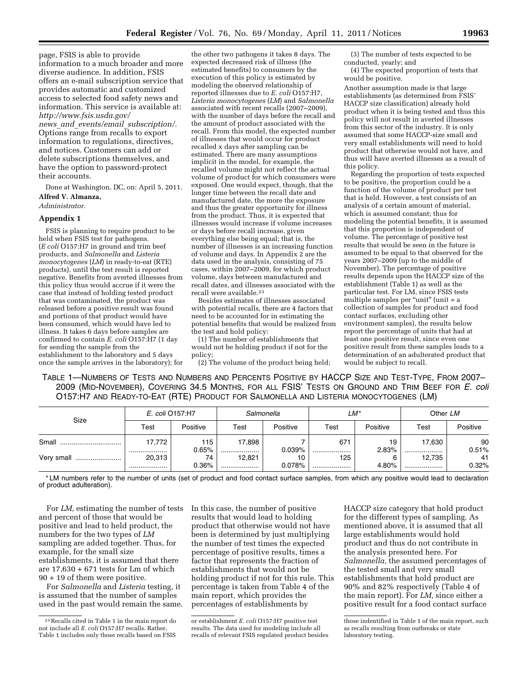page, FSIS is able to provide information to a much broader and more diverse audience. In addition, FSIS offers an e-mail subscription service that provides automatic and customized access to selected food safety news and information. This service is available at: *[http://www.fsis.usda.gov/](http://www.fsis.usda.gov/news_and_events/email_subscription/)  news*\_*and*\_*events/email*\_*[subscription/.](http://www.fsis.usda.gov/news_and_events/email_subscription/)*  Options range from recalls to export information to regulations, directives, and notices. Customers can add or delete subscriptions themselves, and

their accounts. Done at Washington, DC, on: April 5, 2011. **Alfred V. Almanza,** 

have the option to password-protect

*Administrator.* 

### **Appendix 1**

FSIS is planning to require product to be held when FSIS test for pathogens. (*E coli* O157:H7 in ground and trim beef products, and *Salmonella* and *Listeria monocytogenes* (*LM*) in ready-to-eat (RTE) products), until the test result is reported negative. Benefits from averted illnesses from this policy thus would accrue if it were the case that instead of holding tested product that was contaminated, the product was released before a positive result was found and portions of that product would have been consumed, which would have led to illness. It takes 6 days before samples are confirmed to contain *E. coli* O157:H7 (1 day for sending the sample from the establishment to the laboratory and 5 days once the sample arrives in the laboratory); for

the other two pathogens it takes 8 days. The expected decreased risk of illness (the estimated benefits) to consumers by the execution of this policy is estimated by modeling the observed relationship of reported illnesses due to *E. coli* O157:H7, *Listeria monocytogenes* (*LM*) and *Salmonella*  associated with recent recalls (2007–2009), with the number of days before the recall and the amount of product associated with the recall. From this model, the expected number of illnesses that would occur for product recalled x days after sampling can be estimated. There are many assumptions implicit in the model, for example, the recalled volume might not reflect the actual volume of product for which consumers were exposed. One would expect, though, that the longer time between the recall date and manufactured date, the more the exposure and thus the greater opportunity for illness from the product. Thus, it is expected that illnesses would increase if volume increases or days before recall increase, given everything else being equal; that is, the number of illnesses is an increasing function of volume and days. In Appendix 2 are the data used in the analysis, consisting of 75 cases, within 2007–2009, for which product volume, days between manufactured and recall dates, and illnesses associated with the recall were available.23

Besides estimates of illnesses associated with potential recalls, there are 4 factors that need to be accounted for in estimating the potential benefits that would be realized from the test and hold policy:

(1) The number of establishments that would not be holding product if not for the policy;

(2) The volume of the product being held;

(3) The number of tests expected to be conducted, yearly; and

(4) The expected proportion of tests that would be positive.

Another assumption made is that large establishments (as determined from FSIS' HACCP size classification) already hold product when it is being tested and thus this policy will not result in averted illnesses from this sector of the industry. It is only assumed that some HACCP-size small and very small establishments will need to hold product that otherwise would not have, and thus will have averted illnesses as a result of this policy.

Regarding the proportion of tests expected to be positive, the proportion could be a function of the volume of product per test that is held. However, a test consists of an analysis of a certain amount of material, which is assumed constant; thus for modeling the potential benefits, it is assumed that this proportion is independent of volume. The percentage of positive test results that would be seen in the future is assumed to be equal to that observed for the years 2007–2009 (up to the middle of November). The percentage of positive results depends upon the HACCP size of the establishment (Table 1) as well as the particular test. For LM, since FSIS tests multiple samples per "unit" (unit = a collection of samples for product and food contact surfaces, excluding other environment samples), the results below report the percentage of units that had at least one positive result, since even one positive result from these samples leads to a determination of an adulterated product that would be subject to recall.

TABLE 1—NUMBERS OF TESTS AND NUMBERS AND PERCENTS POSITIVE BY HACCP SIZE AND TEST-TYPE, FROM 2007– 2009 (MID-NOVEMBER), COVERING 34.5 MONTHS, FOR ALL FSIS' TESTS ON GROUND AND TRIM BEEF FOR *E. coli*  O157:H7 AND READY-TO-EAT (RTE) PRODUCT FOR SALMONELLA AND LISTERIA MONOCYTOGENES (LM)

| Size       | E. coli O157:H7<br>Salmonella |             |            | LM*          |         | Other LM |            |             |
|------------|-------------------------------|-------------|------------|--------------|---------|----------|------------|-------------|
|            | Test                          | Positive    | Test       | Positive     | Test    | Positive | Test       | Positive    |
| Small      | 17,772                        | 115         | 17,898     |              | $67 -$  | 19       | 17.630     | 90          |
| Very small | <br>20,313                    | 0.65%<br>74 | <br>12,821 | 0.039%<br>10 | <br>125 | 2.83%    | <br>12,735 | 0.51%<br>41 |
|            |                               | $0.36\%$    |            | 0.078%       |         | 4.80%    |            | 0.32%       |

\* LM numbers refer to the number of units (set of product and food contact surface samples, from which any positive would lead to declaration of product adulteration).

For *LM,* estimating the number of tests and percent of those that would be positive and lead to held product, the numbers for the two types of *LM*  sampling are added together. Thus, for example, for the small size establishments, it is assumed that there are 17,630 + 671 tests for Lm of which 90 + 19 of them were positive.

For *Salmonella* and *Listeria* testing, it is assumed that the number of samples used in the past would remain the same. In this case, the number of positive results that would lead to holding product that otherwise would not have been is determined by just multiplying the number of test times the expected percentage of positive results, times a factor that represents the fraction of establishments that would not be holding product if not for this rule. This percentage is taken from Table 4 of the main report, which provides the percentages of establishments by

HACCP size category that hold product for the different types of sampling. As mentioned above, it is assumed that all large establishments would hold product and thus do not contribute in the analysis presented here. For *Salmonella,* the assumed percentages of the tested small and very small establishments that hold product are 90% and 82% respectively (Table 4 of the main report). For *LM,* since either a positive result for a food contact surface

<sup>23</sup>Recalls cited in Table 1 in the main report do not include all *E. coli* O157:H7 recalls. Rather, Table 1 includes only those recalls based on FSIS

or establishment *E. coli* O157:H7 positive test results. The data used for modeling include all recalls of relevant FSIS regulated product besides

those indentified in Table 1 of the main report, such as recalls resulting from outbreaks or state laboratory testing.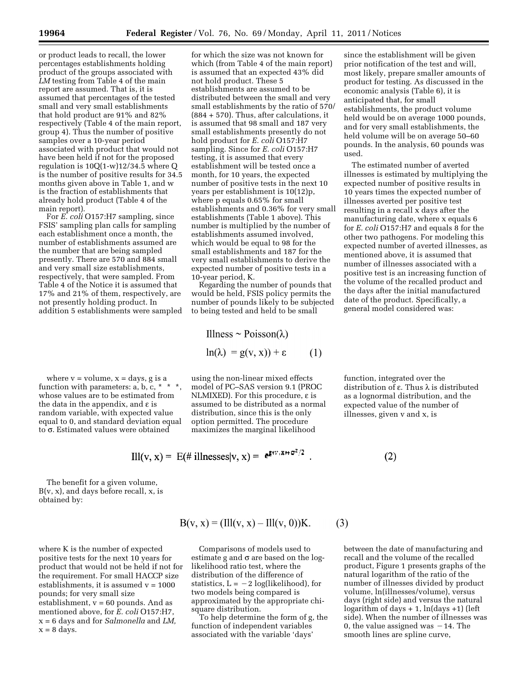or product leads to recall, the lower percentages establishments holding product of the groups associated with *LM* testing from Table 4 of the main report are assumed. That is, it is assumed that percentages of the tested small and very small establishments that hold product are 91% and 82% respectively (Table 4 of the main report, group 4). Thus the number of positive samples over a 10-year period associated with product that would not have been held if not for the proposed regulation is 10Q(1-w)12/34.5 where Q is the number of positive results for 34.5 months given above in Table 1, and w is the fraction of establishments that already hold product (Table 4 of the main report).

For *E. coli* O157:H7 sampling, since FSIS' sampling plan calls for sampling each establishment once a month, the number of establishments assumed are the number that are being sampled presently. There are 570 and 884 small and very small size establishments, respectively, that were sampled. From Table 4 of the Notice it is assumed that 17% and 21% of them, respectively, are not presently holding product. In addition 5 establishments were sampled

where  $v = volume$ ,  $x = days$ ,  $g$  is a function with parameters:  $a, b, c, * * *$ , whose values are to be estimated from the data in the appendix, and  $\varepsilon$  is random variable, with expected value equal to 0, and standard deviation equal to  $\sigma$ . Estimated values were obtained

The benefit for a given volume,  $B(v, x)$ , and days before recall, x, is obtained by:

where K is the number of expected positive tests for the next 10 years for product that would not be held if not for the requirement. For small HACCP size establishments, it is assumed  $v = 1000$ pounds; for very small size establishment,  $v = 60$  pounds. And as mentioned above, for *E. coli* O157:H7, x = 6 days and for *Salmonella* and *LM,*   $x = 8$  days.

for which the size was not known for which (from Table 4 of the main report) is assumed that an expected 43% did not hold product. These 5 establishments are assumed to be distributed between the small and very small establishments by the ratio of 570/ (884 + 570). Thus, after calculations, it is assumed that 98 small and 187 very small establishments presently do not hold product for *E. coli* O157:H7 sampling. Since for *E. coli* O157:H7 testing, it is assumed that every establishment will be tested once a month, for 10 years, the expected number of positive tests in the next 10 years per establishment is 10(12)p, where p equals 0.65% for small establishments and 0.36% for very small establishments (Table 1 above). This number is multiplied by the number of establishments assumed involved, which would be equal to 98 for the small establishments and 187 for the very small establishments to derive the expected number of positive tests in a 10-year period, K.

Regarding the number of pounds that would be held, FSIS policy permits the number of pounds likely to be subjected to being tested and held to be small

Illness 
$$
\sim \text{Poisson}(\lambda)
$$

\n $\ln(\lambda) = g(v, x) + \varepsilon$ 

\n(1)

using the non-linear mixed effects model of PC–SAS version 9.1 (PROC NLMIXED). For this procedure,  $\varepsilon$  is assumed to be distributed as a normal distribution, since this is the only option permitted. The procedure maximizes the marginal likelihood

$$
\text{III}(v, x) = E(\# \text{ ilnesses}|v, x) = e^{\mathbf{E}(\mathbf{v}_1 \mathbf{x} + \mathbf{\sigma}^2)/2}.
$$

 $(3)$ 

 $\sim$ 

Comparisons of models used to estimate g and  $\sigma$  are based on the loglikelihood ratio test, where the distribution of the difference of statistics,  $L = -2$  log(likelihood), for two models being compared is approximated by the appropriate chisquare distribution.

 $B(v, x) = (III(v, x) – III(v, 0))K.$ 

To help determine the form of g, the function of independent variables associated with the variable 'days'

since the establishment will be given prior notification of the test and will, most likely, prepare smaller amounts of product for testing. As discussed in the economic analysis (Table 6), it is anticipated that, for small establishments, the product volume held would be on average 1000 pounds, and for very small establishments, the held volume will be on average 50–60 pounds. In the analysis, 60 pounds was used.

The estimated number of averted illnesses is estimated by multiplying the expected number of positive results in 10 years times the expected number of illnesses averted per positive test resulting in a recall x days after the manufacturing date, where x equals 6 for *E. coli* O157:H7 and equals 8 for the other two pathogens. For modeling this expected number of averted illnesses, as mentioned above, it is assumed that number of illnesses associated with a positive test is an increasing function of the volume of the recalled product and the days after the initial manufactured date of the product. Specifically, a general model considered was:

function, integrated over the distribution of e. Thus λ is distributed as a lognormal distribution, and the expected value of the number of illnesses, given v and x, is

 $(2)$ 

between the date of manufacturing and recall and the volume of the recalled product, Figure 1 presents graphs of the natural logarithm of the ratio of the number of illnesses divided by product volume, ln(illnesses/volume), versus days (right side) and versus the natural logarithm of days  $+ 1$ ,  $ln(days + 1)$  (left side). When the number of illnesses was 0, the value assigned was  $-14$ . The smooth lines are spline curve,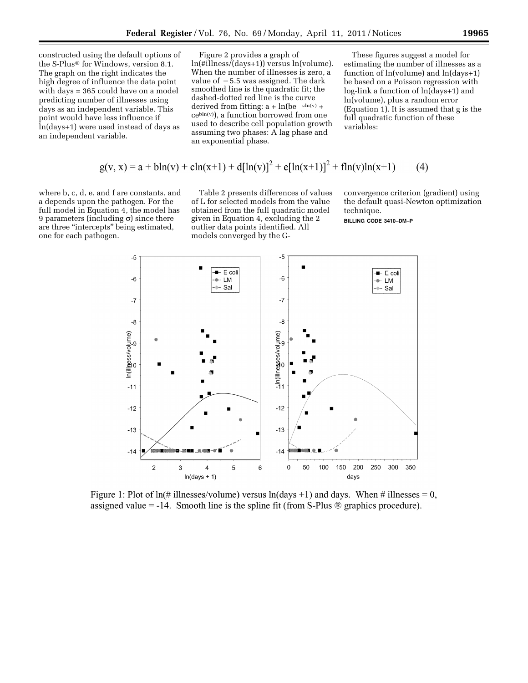constructed using the default options of the S-Plus® for Windows, version 8.1. The graph on the right indicates the high degree of influence the data point with days = 365 could have on a model predicting number of illnesses using days as an independent variable. This point would have less influence if ln(days+1) were used instead of days as an independent variable.

Figure 2 provides a graph of ln(#illness/(days+1)) versus ln(volume). When the number of illnesses is zero, a value of  $-5.5$  was assigned. The dark smoothed line is the quadratic fit; the dashed-dotted red line is the curve derived from fitting:  $a + ln(be^{-cln(v)} +$ cebln(v) ), a function borrowed from one used to describe cell population growth assuming two phases: A lag phase and an exponential phase.

These figures suggest a model for estimating the number of illnesses as a function of ln(volume) and ln(days+1) be based on a Poisson regression with log-link a function of ln(days+1) and ln(volume), plus a random error (Equation 1). It is assumed that g is the full quadratic function of these variables:

$$
g(v, x) = a + bh(v) + ch(x+1) + d[ln(v)]^{2} + e[ln(x+1)]^{2} + fh(v)ln(x+1)
$$
 (4)

where b, c, d, e, and f are constants, and a depends upon the pathogen. For the full model in Equation 4, the model has 9 parameters (including  $\sigma$ ) since there are three ''intercepts'' being estimated, one for each pathogen.

Table 2 presents differences of values of L for selected models from the value obtained from the full quadratic model given in Equation 4, excluding the 2 outlier data points identified. All models converged by the G-

convergence criterion (gradient) using the default quasi-Newton optimization technique.

**BILLING CODE 3410–DM–P** 



Figure 1: Plot of  $ln(\# \text{ilnesses/volume})$  versus  $ln(\text{days} + 1)$  and days. When # illnesses = 0, assigned value = -14. Smooth line is the spline fit (from S-Plus  $\otimes$  graphics procedure).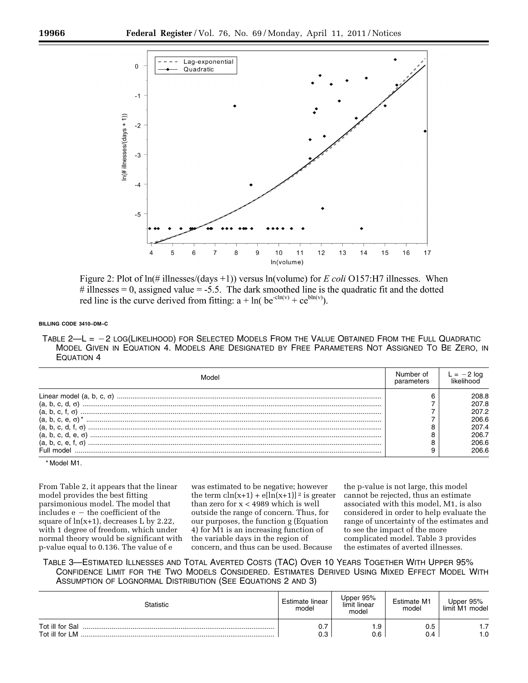

Figure 2: Plot of  $\ln(\# \text{ illnesses}/(\text{days} + 1))$  versus  $\ln(\text{volume})$  for E coli O157:H7 illnesses. When # illnesses = 0, assigned value =  $-5.5$ . The dark smoothed line is the quadratic fit and the dotted red line is the curve derived from fitting:  $a + ln(be^{-cln(v)} + ce^{bh(v)})$ .

# **BILLING CODE 3410–DM–C**

TABLE  $2-$ L =  $-2$  LOG(LIKELIHOOD) FOR SELECTED MODELS FROM THE VALUE OBTAINED FROM THE FULL QUADRATIC MODEL GIVEN IN EQUATION 4. MODELS ARE DESIGNATED BY FREE PARAMETERS NOT ASSIGNED TO BE ZERO, IN EQUATION 4

| Model                             |       |
|-----------------------------------|-------|
| Linear model (a, b, c, $\sigma$ ) | 208.8 |
|                                   | 207.8 |
|                                   | 207.2 |
|                                   | 206.6 |
|                                   | 207.4 |
|                                   | 206.7 |
|                                   | 206.6 |
|                                   | 206.6 |

\* Model M1.

From Table 2, it appears that the linear model provides the best fitting parsimonious model. The model that  $includes e - the coefficient of the$ square of  $ln(x+1)$ , decreases L by 2.22, with 1 degree of freedom, which under normal theory would be significant with p-value equal to 0.136. The value of e

was estimated to be negative; however the term  $\text{cln}(x+1) + \text{el}[\text{ln}(x+1)]^2$  is greater than zero for x < 4989 which is well outside the range of concern. Thus, for our purposes, the function g (Equation 4) for M1 is an increasing function of the variable days in the region of concern, and thus can be used. Because

the p-value is not large, this model cannot be rejected, thus an estimate associated with this model, M1, is also considered in order to help evaluate the range of uncertainty of the estimates and to see the impact of the more complicated model. Table 3 provides the estimates of averted illnesses.

TABLE 3—ESTIMATED ILLNESSES AND TOTAL AVERTED COSTS (TAC) OVER 10 YEARS TOGETHER WITH UPPER 95% CONFIDENCE LIMIT FOR THE TWO MODELS CONSIDERED. ESTIMATES DERIVED USING MIXED EFFECT MODEL WITH ASSUMPTION OF LOGNORMAL DISTRIBUTION (SEE EQUATIONS 2 AND 3)

| Statistic                         | Estimate linear<br>model | Upper 95%<br>limit linear<br>model | Estimate M1<br>model | Upper 95%<br>limit M1 model |
|-----------------------------------|--------------------------|------------------------------------|----------------------|-----------------------------|
| Tot ill for Sal<br>Tot ill for LM | υ.<br>0.3                | . .9<br>0.6                        | 0.5<br>0.4           | $\rightarrow$<br>. .<br>1.0 |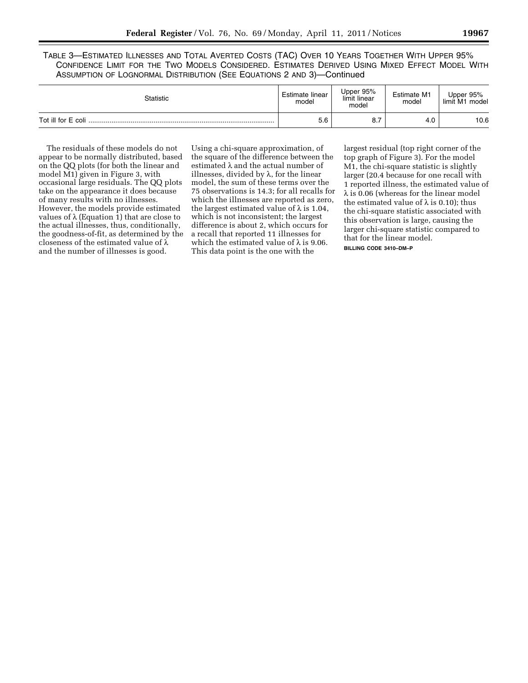TABLE 3—ESTIMATED ILLNESSES AND TOTAL AVERTED COSTS (TAC) OVER 10 YEARS TOGETHER WITH UPPER 95% CONFIDENCE LIMIT FOR THE TWO MODELS CONSIDERED. ESTIMATES DERIVED USING MIXED EFFECT MODEL WITH ASSUMPTION OF LOGNORMAL DISTRIBUTION (SEE EQUATIONS 2 AND 3)—Continued

| Statistic | Estimate linear<br>model | Upper 95%<br>limit linear<br>model | Estimate M1<br>model | Upper 95%<br>limit<br>model<br>M1 |
|-----------|--------------------------|------------------------------------|----------------------|-----------------------------------|
|           | b.b                      | о.,                                | 4.C                  | 10.6                              |

The residuals of these models do not appear to be normally distributed, based on the QQ plots (for both the linear and model M1) given in Figure 3, with occasional large residuals. The QQ plots take on the appearance it does because of many results with no illnesses. However, the models provide estimated values of  $\lambda$  (Equation 1) that are close to the actual illnesses, thus, conditionally, the goodness-of-fit, as determined by the closeness of the estimated value of  $\lambda$ and the number of illnesses is good.

Using a chi-square approximation, of the square of the difference between the estimated λ and the actual number of illnesses, divided by  $\lambda$ , for the linear model, the sum of these terms over the 75 observations is 14.3; for all recalls for which the illnesses are reported as zero, the largest estimated value of  $\lambda$  is 1.04, which is not inconsistent; the largest difference is about 2, which occurs for a recall that reported 11 illnesses for which the estimated value of  $\lambda$  is 9.06. This data point is the one with the

largest residual (top right corner of the top graph of Figure 3). For the model M1, the chi-square statistic is slightly larger (20.4 because for one recall with 1 reported illness, the estimated value of λ is 0.06 (whereas for the linear model the estimated value of  $\lambda$  is 0.10); thus the chi-square statistic associated with this observation is large, causing the larger chi-square statistic compared to that for the linear model.

**BILLING CODE 3410–DM–P**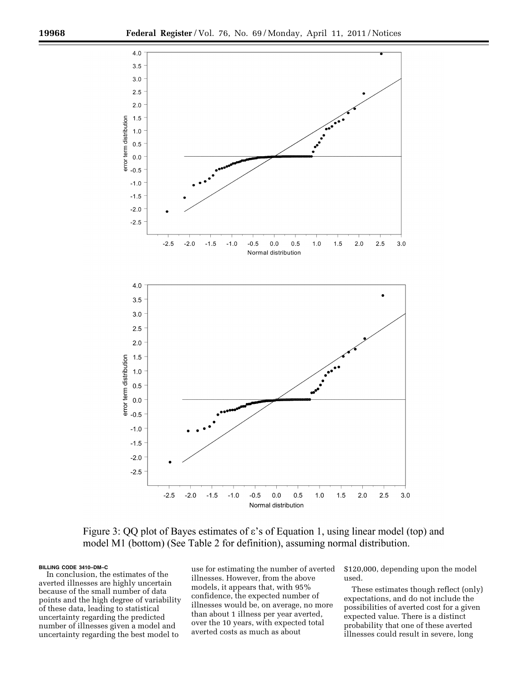

Figure 3: QQ plot of Bayes estimates of  $\varepsilon$ 's of Equation 1, using linear model (top) and model M1 (bottom) (See Table 2 for definition), assuming normal distribution.

# **BILLING CODE 3410–DM–C**

In conclusion, the estimates of the averted illnesses are highly uncertain because of the small number of data points and the high degree of variability of these data, leading to statistical uncertainty regarding the predicted number of illnesses given a model and uncertainty regarding the best model to

use for estimating the number of averted illnesses. However, from the above models, it appears that, with 95% confidence, the expected number of illnesses would be, on average, no more than about 1 illness per year averted, over the 10 years, with expected total averted costs as much as about

\$120,000, depending upon the model used.

These estimates though reflect (only) expectations, and do not include the possibilities of averted cost for a given expected value. There is a distinct probability that one of these averted illnesses could result in severe, long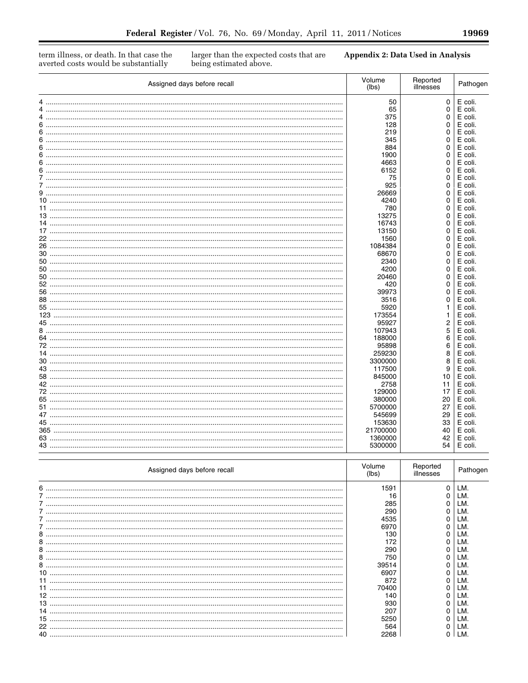19969

 $\equiv$ 

term illness, or death. In that case the averted costs would be substantially

larger than the expected costs that are being estimated above.

**Appendix 2: Data Used in Analysis** 

| Assigned days before recall | Volume<br>(lbs) | Reported<br>illnesses | Pathogen |  |
|-----------------------------|-----------------|-----------------------|----------|--|
| 4                           | 50              | 0                     | E coli.  |  |
|                             | 65              | 0                     | E coli.  |  |
| 4                           | 375             | 0                     | E coli.  |  |
|                             | 128             | 0                     | E coli.  |  |
|                             |                 |                       |          |  |
|                             | 219             | 0                     | E coli.  |  |
|                             | 345             | 0                     | E coli.  |  |
| 6                           | 884             | 0                     | E coli.  |  |
| 6                           | 1900            | 0                     | E coli.  |  |
|                             | 4663            | 0                     | E coli.  |  |
|                             | 6152            | 0                     | E coli.  |  |
|                             | 75              | 0                     | E coli.  |  |
|                             | 925             | 0                     | E coli.  |  |
|                             | 26669           | 0                     | E coli.  |  |
|                             | 4240            | 0                     | E coli.  |  |
|                             | 780             | 0                     | E coli.  |  |
|                             | 13275           | 0                     | E coli.  |  |
|                             | 16743           | 0                     | E coli.  |  |
|                             | 13150           | 0                     | E coli.  |  |
|                             | 1560            | 0                     | E coli.  |  |
|                             | 1084384         | 0                     | E coli.  |  |
|                             | 68670           | 0                     | E coli.  |  |
|                             | 2340            | 0                     | E coli.  |  |
|                             |                 | 0                     |          |  |
|                             | 4200            |                       | E coli.  |  |
|                             | 20460           | 0                     | E coli.  |  |
|                             | 420             | 0                     | E coli.  |  |
|                             | 39973           | 0                     | E coli.  |  |
|                             | 3516            | 0                     | E coli.  |  |
|                             | 5920            | 1                     | E coli.  |  |
|                             | 173554          | 1                     | E coli.  |  |
|                             | 95927           | $\boldsymbol{2}$      | E coli.  |  |
|                             | 107943          | 5                     | E coli.  |  |
|                             | 188000          | 6                     | E coli.  |  |
|                             | 95898           | 6                     | E coli.  |  |
|                             | 259230          | 8                     | E coli.  |  |
|                             | 3300000         | 8                     | E coli.  |  |
|                             | 117500          | 9                     | E coli.  |  |
|                             | 845000          | 10                    | E coli.  |  |
|                             | 2758            | 11                    | E coli.  |  |
|                             |                 |                       |          |  |
|                             | 129000          | 17                    | E coli.  |  |
|                             | 380000          | 20                    | E coli.  |  |
|                             | 5700000         | 27                    | E coli.  |  |
|                             | 545699          | 29                    | E coli.  |  |
|                             | 153630          | 33                    | E coli.  |  |
|                             | 21700000        | 40                    | E coli.  |  |
|                             | 1360000         | 42                    | E coli.  |  |
|                             | 5300000         | 54                    | E coli.  |  |

| Assigned days before recall | Volume<br>(lbs) | Reported<br>illnesses | Pathogen |
|-----------------------------|-----------------|-----------------------|----------|
| 6                           | 1591            | O                     | LM.      |
|                             | 16              |                       | LM.      |
|                             | 285             |                       | LM.      |
|                             | 290             |                       | LM.      |
|                             | 4535            |                       | LM.      |
|                             | 6970            |                       | LM.      |
| 8                           | 130             |                       | LM.      |
| 8                           | 172             |                       | LM.      |
| 8                           | 290             |                       | LM.      |
| 8                           | 750             |                       | LM.      |
| 8                           | 39514           |                       | LM.      |
|                             | 6907            |                       | LM.      |
|                             | 872             |                       | LM.      |
|                             | 70400           |                       | LM.      |
| 12                          | 140             |                       | LM.      |
| 13                          | 930             |                       | LM.      |
|                             | 207             |                       | LM.      |
| 15                          | 5250            |                       | LM.      |
| 22                          | 564             |                       | LM.      |
| 40                          | 2268            |                       | LM.      |